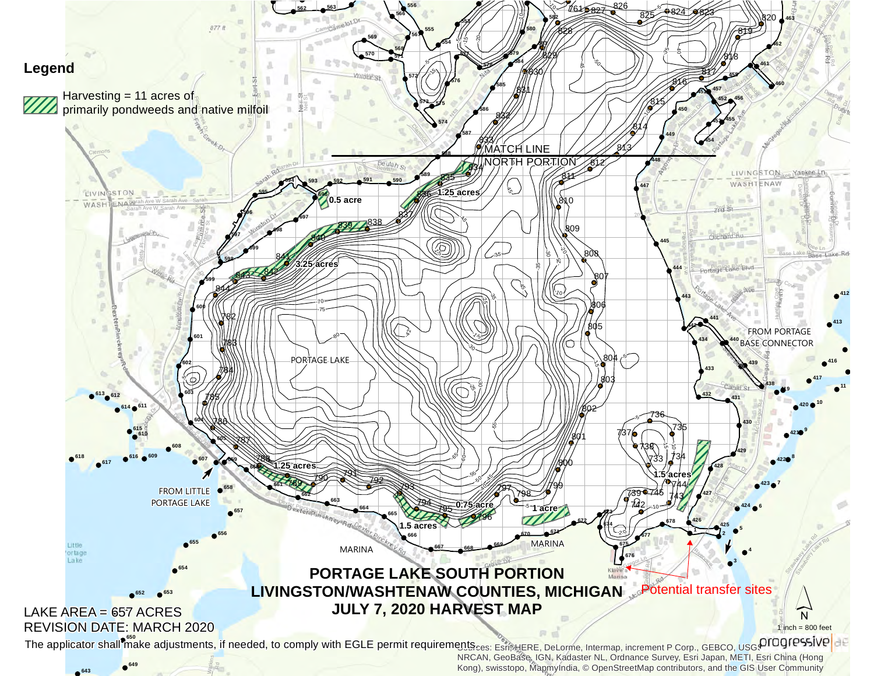